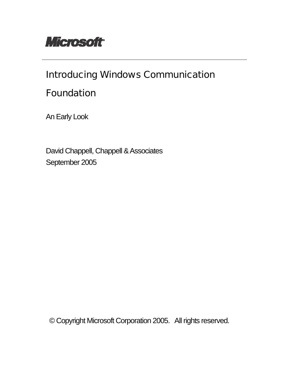

# Introducing Windows Communication

## Foundation

An Early Look

 David Chappell, Chappell & Associates September 2005

© Copyright Microsoft Corporation 2005. All rights reserved.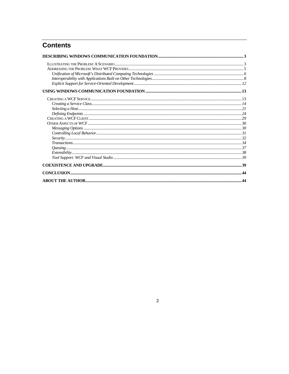## **Contents**

## $\overline{\mathbf{2}}$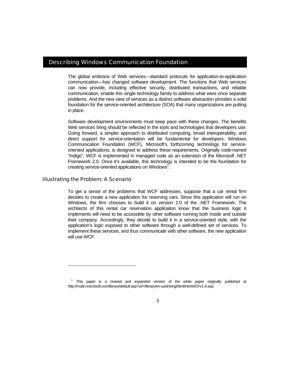## Describing Windows Communication Foundation

The global embrace of Web services—standard protocols for application-to-application communication—has changed software development. The functions that Web services can now provide, including effective security, distributed transactions, and reliable communication, enable this single technology family to address what were once separate problems. And the new view of services as a distinct software abstraction provides a solid foundation for the service-oriented architecture (SOA) that many organizations are putting in place.

Software development environments must keep pace with these changes. The benefits Web services bring should be reflected in the tools and technologies that developers use. Going forward, a simpler approach to distributed computing, broad interoperability, and direct support for service-orientation will be fundamental for developers. Windows Communication Foundation (WCF), Microsoft's forthcoming technology for serviceoriented applications, is designed to address these requirements. Originally code-named "Indigo", WCF is implemented in managed code as an extension of the Microsoft .NET Framework 2.0. Once it's available, this technology is intended to be the foundation for creating service-oriented applications on Windows<sup>1</sup>.

#### Illustrating the Problem: A Scenario

l

To get a sense of the problems that WCF addresses, suppose that a car rental firm decides to create a new application for reserving cars. Since this application will run on Windows, the firm chooses to build it on version 2.0 of the .NET Framework. The architects of this rental car reservation application know that the business logic it implements will need to be accessible by other software running both inside and outside their company. Accordingly, they decide to build it in a service-oriented style, with the application's logic exposed to other software through a well-defined set of services. To implement these services, and thus communicate with other software, the new application will use WCF.

<sup>&</sup>lt;sup>1</sup> This paper is a revised and expanded version of the white paper originally published at http://msdn.microsoft.com/library/default.asp?url=/library/en-us/dnlong/html/introWCFv1-0.asp.

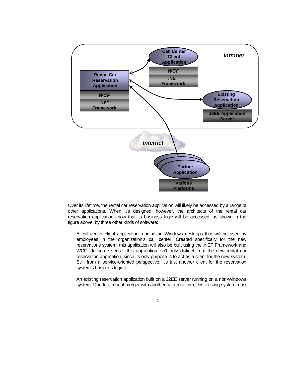

Over its lifetime, the rental car reservation application will likely be accessed by a range of other applications. When it's designed, however, the architects of the rental car reservation application know that its business logic will be accessed, as shown in the figure above, by three other kinds of software:

A call center client application running on Windows desktops that will be used by employees in the organization's call center. Created specifically for the new reservations system, this application will also be built using the .NET Framework and WCF. (In some sense, this application isn't truly distinct from the new rental car reservation application, since its only purpose is to act as a client for the new system. Still, from a service-oriented perspective, it's just another client for the reservation system's business logic.)

An existing reservation application built on a J2EE server running on a non-Windows system. Due to a recent merger with another car rental firm, this existing system must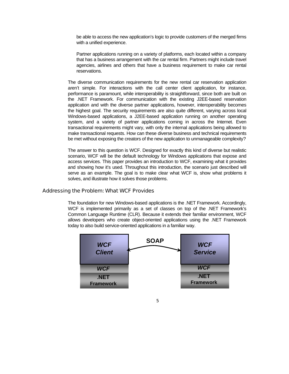be able to access the new application's logic to provide customers of the merged firms with a unified experience.

Partner applications running on a variety of platforms, each located within a company that has a business arrangement with the car rental firm. Partners might include travel agencies, airlines and others that have a business requirement to make car rental reservations.

The diverse communication requirements for the new rental car reservation application aren't simple. For interactions with the call center client application, for instance, performance is paramount, while interoperability is straightforward, since both are built on the .NET Framework. For communication with the existing J2EE-based reservation application and with the diverse partner applications, however, interoperability becomes the highest goal. The security requirements are also quite different, varying across local Windows-based applications, a J2EE-based application running on another operating system, and a variety of partner applications coming in across the Internet. Even transactional requirements might vary, with only the internal applications being allowed to make transactional requests. How can these diverse business and technical requirements be met without exposing the creators of the new application to unmanageable complexity?

The answer to this question is WCF. Designed for exactly this kind of diverse but realistic scenario, WCF will be the default technology for Windows applications that expose and access services. This paper provides an introduction to WCF, examining what it provides and showing how it's used. Throughout this introduction, the scenario just described will serve as an example. The goal is to make clear what WCF is, show what problems it solves, and illustrate how it solves those problems.

#### Addressing the Problem: What WCF Provides

The foundation for new Windows-based applications is the .NET Framework. Accordingly, WCF is implemented primarily as a set of classes on top of the .NET Framework's Common Language Runtime (CLR). Because it extends their familiar environment, WCF allows developers who create object-oriented applications using the .NET Framework today to also build service-oriented applications in a familiar way.

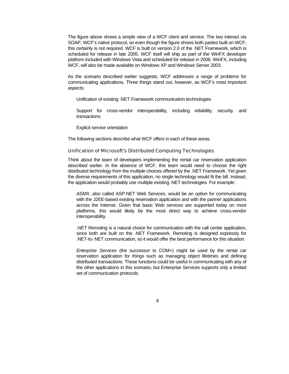The figure above shows a simple view of a WCF client and service. The two interact via SOAP, WCF's native protocol, so even though the figure shows both parties built on WCF, this certainly is not required. WCF is built on version 2.0 of the .NET Framework, which is scheduled for release in late 2005. WCF itself will ship as part of the WinFX developer platform included with Windows Vista and scheduled for release in 2006. WinFX, including WCF, will also be made available on Windows XP and Windows Server 2003.

As the scenario described earlier suggests, WCF addresses a range of problems for communicating applications. Three things stand out, however, as WCF's most important aspects:

Unification of existing .NET Framework communication technologies

Support for cross-vendor interoperability, including reliability, security, and transactions

Explicit service orientation

The following sections describe what WCF offers in each of these areas.

#### Unification of Microsoft's Distributed Computing Technologies

Think about the team of developers implementing the rental car reservation application described earlier. In the absence of WCF, this team would need to choose the right distributed technology from the multiple choices offered by the .NET Framework. Yet given the diverse requirements of this application, no single technology would fit the bill. Instead, the application would probably use multiple existing .NET technologies. For example:

*ASMX*, also called ASP.NET Web Services, would be an option for communicating with the J2EE-based existing reservation application and with the partner applications across the Internet. Given that basic Web services are supported today on most platforms, this would likely be the most direct way to achieve cross-vendor interoperability.

*.NET Remoting* is a natural choice for communication with the call center application, since both are built on the .NET Framework. Remoting is designed expressly for .NET-to-.NET communication, so it would offer the best performance for this situation.

*Enterprise Services* (the successor to COM+) might be used by the rental car reservation application for things such as managing object lifetimes and defining distributed transactions. These functions could be useful in communicating with any of the other applications in this scenario, but Enterprise Services supports only a limited set of communication protocols.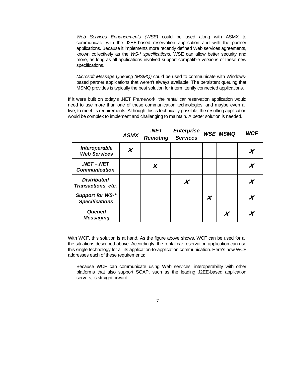*Web Services Enhancements (WSE)* could be used along with ASMX to communicate with the J2EE-based reservation application and with the partner applications. Because it implements more recently defined Web services agreements, known collectively as the *WS-\* specifications*, WSE can allow better security and more, as long as all applications involved support compatible versions of these new specifications.

*Microsoft Message Queuing (MSMQ)* could be used to communicate with Windowsbased partner applications that weren't always available. The persistent queuing that MSMQ provides is typically the best solution for intermittently connected applications.

If it were built on today's .NET Framework, the rental car reservation application would need to use more than one of these communication technologies, and maybe even all five, to meet its requirements. Although this is technically possible, the resulting application would be complex to implement and challenging to maintain. A better solution is needed.

|                                           | <b>ASMX</b> | .NET<br><b>Remoting</b> | <b>Enterprise</b><br><b>Services</b> |   | <b>WSE MSMQ</b> | <b>WCF</b> |
|-------------------------------------------|-------------|-------------------------|--------------------------------------|---|-----------------|------------|
| Interoperable<br><b>Web Services</b>      | X           |                         |                                      |   |                 | X          |
| .NET-.NET<br><b>Communication</b>         |             | X                       |                                      |   |                 |            |
| <b>Distributed</b><br>Transactions, etc.  |             |                         |                                      |   |                 |            |
| Support for WS-*<br><b>Specifications</b> |             |                         |                                      | X |                 | X          |
| Queued<br><b>Messaging</b>                |             |                         |                                      |   | X               |            |

With WCF, this solution is at hand. As the figure above shows, WCF can be used for all the situations described above. Accordingly, the rental car reservation application can use this single technology for all its application-to-application communication. Here's how WCF addresses each of these requirements:

Because WCF can communicate using Web services, interoperability with other platforms that also support SOAP, such as the leading J2EE-based application servers, is straightforward.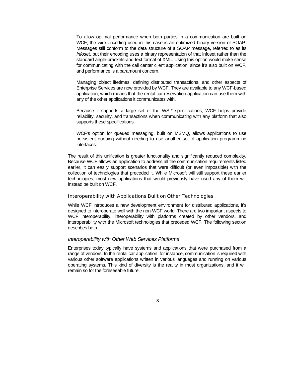To allow optimal performance when both parties in a communication are built on WCF, the wire encoding used in this case is an optimized binary version of SOAP. Messages still conform to the data structure of a SOAP message, referred to as its *Infoset*, but their encoding uses a binary representation of that Infoset rather than the standard angle-brackets-and-text format of XML. Using this option would make sense for communicating with the call center client application, since it's also built on WCF, and performance is a paramount concern.

Managing object lifetimes, defining distributed transactions, and other aspects of Enterprise Services are now provided by WCF. They are available to any WCF-based application, which means that the rental car reservation application can use them with any of the other applications it communicates with.

Because it supports a large set of the WS-\* specifications, WCF helps provide reliability, security, and transactions when communicating with any platform that also supports these specifications.

WCF's option for queued messaging, built on MSMQ, allows applications to use persistent queuing without needing to use another set of application programming interfaces.

The result of this unification is greater functionality and significantly reduced complexity. Because WCF allows an application to address all the communication requirements listed earlier, it can easily support scenarios that were difficult (or even impossible) with the collection of technologies that preceded it. While Microsoft will still support these earlier technologies, most new applications that would previously have used any of them will instead be built on WCF.

#### Interoperability with Applications Built on Other Technologies

While WCF introduces a new development environment for distributed applications, it's designed to interoperate well with the non-WCF world. There are two important aspects to WCF interoperability: interoperability with platforms created by other vendors, and interoperability with the Microsoft technologies that preceded WCF. The following section describes both.

#### *Interoperability with Other Web Services Platforms*

Enterprises today typically have systems and applications that were purchased from a range of vendors. In the rental car application, for instance, communication is required with various other software applications written in various languages and running on various operating systems. This kind of diversity is the reality in most organizations, and it will remain so for the foreseeable future.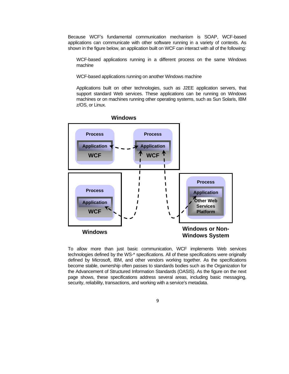Because WCF's fundamental communication mechanism is SOAP, WCF-based applications can communicate with other software running in a variety of contexts. As shown in the figure below, an application built on WCF can interact with all of the following:

WCF-based applications running in a different process on the same Windows machine

WCF-based applications running on another Windows machine

Applications built on other technologies, such as J2EE application servers, that support standard Web services. These applications can be running on Windows machines or on machines running other operating systems, such as Sun Solaris, IBM z/OS, or Linux.



**Windows**

To allow more than just basic communication, WCF implements Web services technologies defined by the WS-\* specifications. All of these specifications were originally defined by Microsoft, IBM, and other vendors working together. As the specifications become stable, ownership often passes to standards bodies such as the Organization for the Advancement of Structured Information Standards (OASIS). As the figure on the next page shows, these specifications address several areas, including basic messaging, security, reliability, transactions, and working with a service's metadata.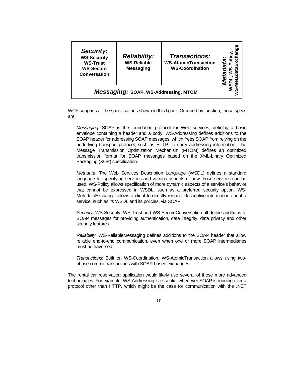| Security:<br><b>WS-Security</b><br><b>WS-Trust</b><br><b>WS-Secure</b><br>Conversation | <b>Reliability:</b><br><b>WS-Reliable</b><br><b>Messaging</b> | <b>Transactions:</b><br><b>WS-AtomicTransaction</b><br><b>WS-Coordination</b> | ω |  |  |
|----------------------------------------------------------------------------------------|---------------------------------------------------------------|-------------------------------------------------------------------------------|---|--|--|
| Messaging: SOAP, WS-Addressing, MTOM                                                   |                                                               |                                                                               |   |  |  |

WCF supports all the specifications shown in this figure. Grouped by function, those specs are:

*Messaging*: SOAP is the foundation protocol for Web services, defining a basic envelope containing a header and a body. WS-Addressing defines additions to the SOAP header for addressing SOAP messages, which frees SOAP from relying on the underlying transport protocol, such as HTTP, to carry addressing information. The Message Transmission Optimization Mechanism (MTOM) defines an optimized transmission format for SOAP messages based on the XML-binary Optimized Packaging (XOP) specification.

*Metadata*: The Web Services Description Language (WSDL) defines a standard language for specifying services and various aspects of how those services can be used. WS-Policy allows specification of more dynamic aspects of a service's behavior that cannot be expressed in WSDL, such as a preferred security option. WS-MetadataExchange allows a client to directly request descriptive information about a service, such as its WSDL and its policies, via SOAP.

*Security*: WS-Security, WS-Trust and WS-SecureConversation all define additions to SOAP messages for providing authentication, data integrity, data privacy and other security features.

*Reliability*: WS-ReliableMessaging defines additions to the SOAP header that allow reliable end-to-end communication, even when one or more SOAP intermediaries must be traversed.

*Transactions*: Built on WS-Coordination, WS-AtomicTransaction allows using twophase commit transactions with SOAP-based exchanges.

The rental car reservation application would likely use several of these more advanced technologies. For example, WS-Addressing is essential whenever SOAP is running over a protocol other than HTTP, which might be the case for communication with the .NET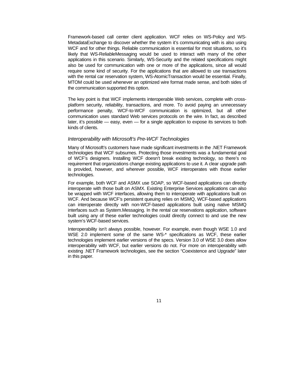Framework-based call center client application. WCF relies on WS-Policy and WS-MetadataExchange to discover whether the system it's communicating with is also using WCF and for other things. Reliable communication is essential for most situations, so it's likely that WS-ReliableMessaging would be used to interact with many of the other applications in this scenario. Similarly, WS-Security and the related specifications might also be used for communication with one or more of the applications, since all would require some kind of security. For the applications that are allowed to use transactions with the rental car reservation system, WS-AtomicTransaction would be essential. Finally, MTOM could be used whenever an optimized wire format made sense, and both sides of the communication supported this option.

The key point is that WCF implements interoperable Web services, complete with crossplatform security, reliability, transactions, and more. To avoid paying an unnecessary performance penalty, WCF-to-WCF communication is optimized, but all other communication uses standard Web services protocols on the wire. In fact, as described later, it's possible — easy, even — for a single application to expose its services to both kinds of clients.

#### *Interoperability with Microsoft's Pre-WCF Technologies*

Many of Microsoft's customers have made significant investments in the .NET Framework technologies that WCF subsumes. Protecting those investments was a fundamental goal of WCF's designers. Installing WCF doesn't break existing technology, so there's no requirement that organizations change existing applications to use it. A clear upgrade path is provided, however, and wherever possible, WCF interoperates with those earlier technologies.

For example, both WCF and ASMX use SOAP, so WCF-based applications can directly interoperate with those built on ASMX. Existing Enterprise Services applications can also be wrapped with WCF interfaces, allowing them to interoperate with applications built on WCF. And because WCF's persistent queuing relies on MSMQ, WCF-based applications can interoperate directly with non-WCF-based applications built using native MSMQ interfaces such as System.Messaging. In the rental car reservations application, software built using any of these earlier technologies could directly connect to and use the new system's WCF-based services.

Interoperability isn't always possible, however. For example, even though WSE 1.0 and WSE 2.0 implement some of the same WS-\* specifications as WCF, these earlier technologies implement earlier versions of the specs. Version 3.0 of WSE 3.0 does allow interoperability with WCF, but earlier versions do not. For more on interoperability with existing .NET Framework technologies, see the section "Coexistence and Upgrade" later in this paper.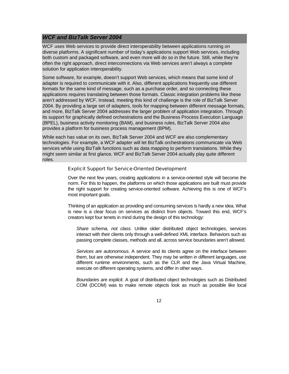## *WCF and BizTalk Server 2004*

WCF uses Web services to provide direct interoperability between applications running on diverse platforms. A significant number of today's applications support Web services, including both custom and packaged software, and even more will do so in the future. Still, while they're often the right approach, direct interconnections via Web services aren't always a complete solution for application interoperability.

Some software, for example, doesn't support Web services, which means that some kind of adapter is required to communicate with it. Also, different applications frequently use different formats for the same kind of message, such as a purchase order, and so connecting these applications requires translating between those formats. Classic integration problems like these aren't addressed by WCF. Instead, meeting this kind of challenge is the role of BizTalk Server 2004. By providing a large set of adapters, tools for mapping between different message formats, and more, BizTalk Server 2004 addresses the larger problem of application integration. Through its support for graphically defined orchestrations and the Business Process Execution Language (BPEL), business activity monitoring (BAM), and business rules, BizTalk Server 2004 also provides a platform for business process management (BPM).

While each has value on its own, BizTalk Server 2004 and WCF are also complementary technologies. For example, a WCF adapter will let BizTalk orchestrations communicate via Web services while using BizTalk functions such as data mapping to perform translations. While they might seem similar at first glance, WCF and BizTalk Server 2004 actually play quite different roles.

## Explicit Support for Service-Oriented Development

Over the next few years, creating applications in a service-oriented style will become the norm. For this to happen, the platforms on which those applications are built must provide the right support for creating service-oriented software. Achieving this is one of WCF's most important goals.

Thinking of an application as providing and consuming services is hardly a new idea. What is new is a clear focus on services as distinct from objects. Toward this end, WCF's creators kept four tenets in mind during the design of this technology:

*Share schema, not class*. Unlike older distributed object technologies, services interact with their clients only through a well-defined XML interface. Behaviors such as passing complete classes, methods and all, across service boundaries aren't allowed.

*Services are autonomous*. A service and its clients agree on the interface between them, but are otherwise independent. They may be written in different languages, use different runtime environments, such as the CLR and the Java Virtual Machine, execute on different operating systems, and differ in other ways.

*Boundaries are explicit*. A goal of distributed object technologies such as Distributed COM (DCOM) was to make remote objects look as much as possible like local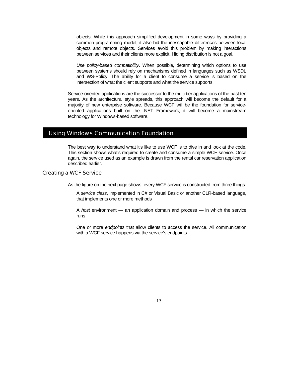objects. While this approach simplified development in some ways by providing a common programming model, it also hid the inescapable differences between local objects and remote objects. Services avoid this problem by making interactions between services and their clients more explicit. Hiding distribution is not a goal.

*Use policy-based compatibility*. When possible, determining which options to use between systems should rely on mechanisms defined in languages such as WSDL and WS-Policy. The ability for a client to consume a service is based on the intersection of what the client supports and what the service supports.

Service-oriented applications are the successor to the multi-tier applications of the past ten years. As the architectural style spreads, this approach will become the default for a majority of new enterprise software. Because WCF will be the foundation for serviceoriented applications built on the .NET Framework, it will become a mainstream technology for Windows-based software.

## Using Windows Communication Foundation

The best way to understand what it's like to use WCF is to dive in and look at the code. This section shows what's required to create and consume a simple WCF service. Once again, the service used as an example is drawn from the rental car reservation application described earlier.

## Creating a WCF Service

As the figure on the next page shows, every WCF service is constructed from three things:

A *service class*, implemented in C# or Visual Basic or another CLR-based language, that implements one or more methods

A *host* environment — an application domain and process — in which the service runs

One or more *endpoints* that allow clients to access the service. All communication with a WCF service happens via the service's endpoints.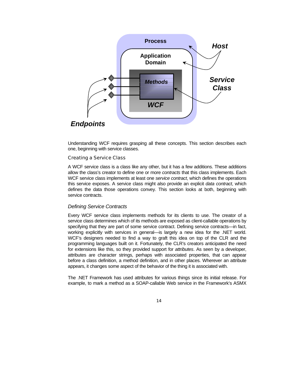

Understanding WCF requires grasping all these concepts. This section describes each one, beginning with service classes.

#### Creating a Service Class

A WCF service class is a class like any other, but it has a few additions. These additions allow the class's creator to define one or more *contracts* that this class implements. Each WCF service class implements at least one *service contract*, which defines the operations this service exposes. A service class might also provide an explicit *data contract*, which defines the data those operations convey. This section looks at both, beginning with service contracts.

#### *Defining Service Contracts*

Every WCF service class implements methods for its clients to use. The creator of a service class determines which of its methods are exposed as client-callable operations by specifying that they are part of some service contract. Defining service contracts—in fact, working explicitly with services in general—is largely a new idea for the .NET world. WCF's designers needed to find a way to graft this idea on top of the CLR and the programming languages built on it. Fortunately, the CLR's creators anticipated the need for extensions like this, so they provided support for *attributes*. As seen by a developer, attributes are character strings, perhaps with associated properties, that can appear before a class definition, a method definition, and in other places. Wherever an attribute appears, it changes some aspect of the behavior of the thing it is associated with.

The .NET Framework has used attributes for various things since its initial release. For example, to mark a method as a SOAP-callable Web service in the Framework's ASMX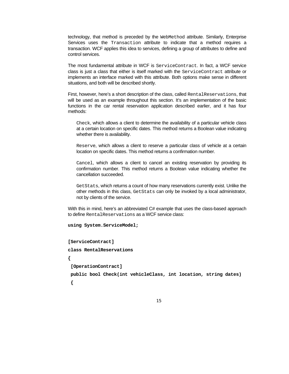technology, that method is preceded by the WebMethod attribute. Similarly, Enterprise Services uses the Transaction attribute to indicate that a method requires a transaction. WCF applies this idea to services, defining a group of attributes to define and control services.

The most fundamental attribute in WCF is ServiceContract. In fact, a WCF service class is just a class that either is itself marked with the ServiceContract attribute or implements an interface marked with this attribute. Both options make sense in different situations, and both will be described shortly.

First, however, here's a short description of the class, called RentalReservations, that will be used as an example throughout this section. It's an implementation of the basic functions in the car rental reservation application described earlier, and it has four methods:

Check, which allows a client to determine the availability of a particular vehicle class at a certain location on specific dates. This method returns a Boolean value indicating whether there is availability.

Reserve, which allows a client to reserve a particular class of vehicle at a certain location on specific dates. This method returns a confirmation number.

Cancel, which allows a client to cancel an existing reservation by providing its confirmation number. This method returns a Boolean value indicating whether the cancellation succeeded.

GetStats, which returns a count of how many reservations currently exist. Unlike the other methods in this class, GetStats can only be invoked by a local administrator, not by clients of the service.

With this in mind, here's an abbreviated C# example that uses the class-based approach to define RentalReservations as a WCF service class:

```
using System.ServiceModel;
```

```
[ServiceContract]
```
**class RentalReservations** 

**{** 

 **[OperationContract]** 

```
 public bool Check(int vehicleClass, int location, string dates)
```
 **{** 

15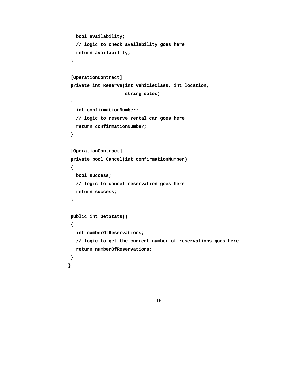```
 bool availability; 
    // logic to check availability goes here 
    return availability; 
  } 
  [OperationContract] 
  private int Reserve(int vehicleClass, int location, 
                        string dates) 
  { 
    int confirmationNumber; 
    // logic to reserve rental car goes here 
    return confirmationNumber; 
  } 
  [OperationContract] 
  private bool Cancel(int confirmationNumber) 
  { 
    bool success; 
    // logic to cancel reservation goes here 
    return success; 
  } 
  public int GetStats() 
  { 
    int numberOfReservations; 
    // logic to get the current number of reservations goes here 
    return numberOfReservations; 
  } 
}
```

```
16
```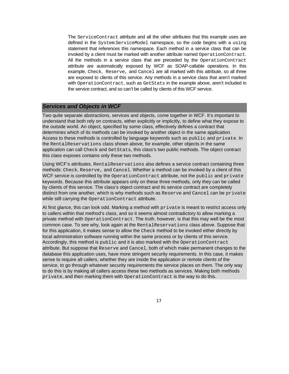The ServiceContract attribute and all the other attributes that this example uses are defined in the System.ServiceModel namespace, so the code begins with a using statement that references this namespace. Each method in a service class that can be invoked by a client must be marked with another attribute named OperationContract. All the methods in a service class that are preceded by the OperationContract attribute are automatically exposed by WCF as SOAP-callable operations. In this example, Check, Reserve, and Cancel are all marked with this attribute, so all three are exposed to clients of this service. Any methods in a service class that aren't marked with OperationContract, such as GetStats in the example above, aren't included in the service contract, and so can't be called by clients of this WCF service.

## *Services and Objects in WCF*

Two quite separate abstractions, services and objects, come together in WCF. It's important to understand that both rely on contracts, either explicitly or implicitly, to define what they expose to the outside world. An object, specified by some class, effectively defines a contract that determines which of its methods can be invoked by another object in the same application. Access to these methods is controlled by language keywords such as public and private. In the RentalReservations class shown above, for example, other objects in the same application can call Check and GetStats, this class's two public methods. The object contract this class exposes contains only these two methods.

Using WCF's attributes, RentalReservations also defines a service contract containing three methods: Check, Reserve, and Cancel. Whether a method can be invoked by a client of this WCF service is controlled by the OperationContract attribute, not the public and private keywords. Because this attribute appears only on these three methods, only they can be called by clients of this service. The class's object contract and its service contract are completely distinct from one another, which is why methods such as Reserve and Cancel can be private while still carrying the OperationContract attribute.

At first glance, this can look odd. Marking a method with private is meant to restrict access only to callers within that method's class, and so it seems almost contradictory to allow marking a private method with OperationContract. The truth, however, is that this may well be the most common case. To see why, look again at the RentalReservations class above. Suppose that for this application, it makes sense to allow the Check method to be invoked either directly by local administration software running within the same process or by clients of this service. Accordingly, this method is public and it is also marked with the OperationContract attribute. But suppose that Reserve and Cancel, both of which make permanent changes to the database this application uses, have more stringent security requirements. In this case, it makes sense to require all callers, whether they are inside the application or remote clients of the service, to go through whatever security requirements the service places on them. The only way to do this is by making all callers access these two methods as services. Making both methods private, and then marking them with OperationContract is the way to do this.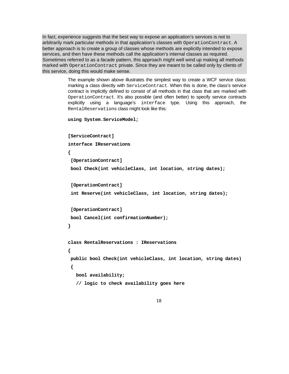In fact, experience suggests that the best way to expose an application's services is not to arbitrarily mark particular methods in that application's classes with OperationContract. A better approach is to create a group of classes whose methods are explicitly intended to expose services, and then have these methods call the application's internal classes as required. Sometimes referred to as a *facade* pattern, this approach might well wind up making all methods marked with OperationContract private. Since they are meant to be called only by clients of this service, doing this would make sense.

> The example shown above illustrates the simplest way to create a WCF service class: marking a class directly with ServiceContract. When this is done, the class's service contract is implicitly defined to consist of all methods in that class that are marked with OperationContract. It's also possible (and often better) to specify service contracts explicitly using a language's interface type. Using this approach, the RentalReservations class might look like this:

```
using System.ServiceModel;
```

```
[ServiceContract] 
interface IReservations 
{ 
  [OperationContract] 
  bool Check(int vehicleClass, int location, string dates); 
  [OperationContract] 
  int Reserve(int vehicleClass, int location, string dates); 
  [OperationContract] 
  bool Cancel(int confirmationNumber); 
} 
class RentalReservations : IReservations 
{ 
  public bool Check(int vehicleClass, int location, string dates) 
  { 
    bool availability; 
    // logic to check availability goes here
```

```
18
```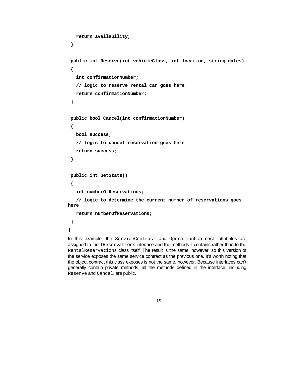```
 return availability; 
  } 
  public int Reserve(int vehicleClass, int location, string dates) 
  { 
    int confirmationNumber; 
    // logic to reserve rental car goes here 
    return confirmationNumber; 
  } 
  public bool Cancel(int confirmationNumber) 
  { 
    bool success; 
    // logic to cancel reservation goes here 
    return success; 
  } 
  public int GetStats() 
  { 
    int numberOfReservations; 
    // logic to determine the current number of reservations goes 
here 
    return numberOfReservations; 
  }
```

```
}
```
In this example, the ServiceContract and OperationContract attributes are assigned to the IReservations interface and the methods it contains rather than to the RentalReservations class itself. The result is the same, however, so this version of the service exposes the same service contract as the previous one. It's worth noting that the object contract this class exposes is not the same, however. Because interfaces can't generally contain private methods, all the methods defined in the interface, including Reserve and Cancel, are public.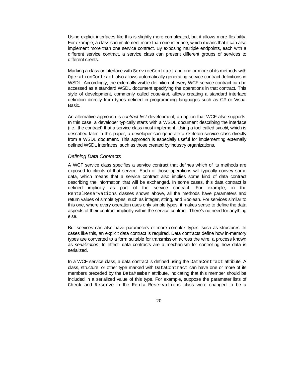Using explicit interfaces like this is slightly more complicated, but it allows more flexibility. For example, a class can implement more than one interface, which means that it can also implement more than one service contract. By exposing multiple endpoints, each with a different service contract, a service class can present different groups of services to different clients.

Marking a class or interface with ServiceContract and one or more of its methods with OperationContract also allows automatically generating service contract definitions in WSDL. Accordingly, the externally visible definition of every WCF service contract can be accessed as a standard WSDL document specifying the operations in that contract. This style of development, commonly called *code-first*, allows creating a standard interface definition directly from types defined in programming languages such as C# or Visual Basic.

An alternative approach is *contract-first* development, an option that WCF also supports. In this case, a developer typically starts with a WSDL document describing the interface (i.e., the contract) that a service class must implement. Using a tool called *svcutil*, which is described later in this paper, a developer can generate a skeleton service class directly from a WSDL document. This approach is especially useful for implementing externally defined WSDL interfaces, such as those created by industry organizations.

#### *Defining Data Contracts*

A WCF service class specifies a service contract that defines which of its methods are exposed to clients of that service. Each of those operations will typically convey some data, which means that a service contract also implies some kind of data contract describing the information that will be exchanged. In some cases, this data contract is defined implicitly as part of the service contract. For example, in the RentalReservations classes shown above, all the methods have parameters and return values of simple types, such as integer, string, and Boolean. For services similar to this one, where every operation uses only simple types, it makes sense to define the data aspects of their contract implicitly within the service contract. There's no need for anything else.

But services can also have parameters of more complex types, such as structures. In cases like this, an explicit data contract is required. Data contracts define how in-memory types are converted to a form suitable for transmission across the wire, a process known as *serialization*. In effect, data contracts are a mechanism for controlling how data is serialized.

In a WCF service class, a data contract is defined using the DataContract attribute. A class, structure, or other type marked with DataContract can have one or more of its members preceded by the DataMember attribute, indicating that this member should be included in a serialized value of this type. For example, suppose the parameter lists of Check and Reserve in the RentalReservations class were changed to be a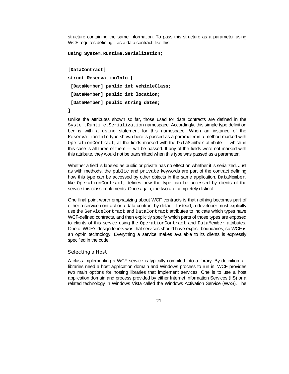structure containing the same information. To pass this structure as a parameter using WCF requires defining it as a data contract, like this:

```
using System.Runtime.Serialization;
```
**[DataContract] struct ReservationInfo { [DataMember] public int vehicleClass; [DataMember] public int location; [DataMember] public string dates; }** 

Unlike the attributes shown so far, those used for data contracts are defined in the System.Runtime.Serialization namespace. Accordingly, this simple type definition begins with a using statement for this namespace. When an instance of the ReservationInfo type shown here is passed as a parameter in a method marked with OperationContract, all the fields marked with the DataMember attribute — which in this case is all three of them — will be passed. If any of the fields were not marked with this attribute, they would not be transmitted when this type was passed as a parameter.

Whether a field is labeled as public or private has no effect on whether it is serialized. Just as with methods, the public and private keywords are part of the contract defining how this type can be accessed by other objects in the same application. DataMember, like OperationContract, defines how the type can be accessed by clients of the service this class implements. Once again, the two are completely distinct.

One final point worth emphasizing about WCF contracts is that nothing becomes part of either a service contract or a data contract by default. Instead, a developer must explicitly use the ServiceContract and DataContract attributes to indicate which types have WCF-defined contracts, and then explicitly specify which parts of those types are exposed to clients of this service using the OperationContract and DataMember attributes. One of WCF's design tenets was that services should have explicit boundaries, so WCF is an opt-in technology. Everything a service makes available to its clients is expressly specified in the code.

### Selecting a Host

A class implementing a WCF service is typically compiled into a library. By definition, all libraries need a host application domain and Windows process to run in. WCF provides two main options for hosting libraries that implement services. One is to use a host application domain and process provided by either Internet Information Services (IIS) or a related technology in Windows Vista called the Windows Activation Service (WAS). The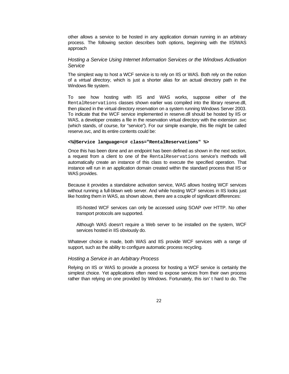other allows a service to be hosted in any application domain running in an arbitrary process. The following section describes both options, beginning with the IIS/WAS approach

## *Hosting a Service Using Internet Information Services or the Windows Activation Service*

The simplest way to host a WCF service is to rely on IIS or WAS. Both rely on the notion of a *virtual directory*, which is just a shorter alias for an actual directory path in the Windows file system.

To see how hosting with IIS and WAS works, suppose either of the RentalReservations classes shown earlier was compiled into the library reserve.dll, then placed in the virtual directory *reservation* on a system running Windows Server 2003. To indicate that the WCF service implemented in reserve.dll should be hosted by IIS or WAS, a developer creates a file in the reservation virtual directory with the extension .svc (which stands, of course, for "service"). For our simple example, this file might be called reserve.svc, and its entire contents could be:

#### **<%@Service language=c# class="RentalReservations" %>**

Once this has been done and an endpoint has been defined as shown in the next section, a request from a client to one of the RentalReservations service's methods will automatically create an instance of this class to execute the specified operation. That instance will run in an application domain created within the standard process that IIS or WAS provides.

Because it provides a standalone activation service, WAS allows hosting WCF services without running a full-blown web server. And while hosting WCF services in IIS looks just like hosting them in WAS, as shown above, there are a couple of significant differences:

IIS-hosted WCF services can only be accessed using SOAP over HTTP. No other transport protocols are supported.

Although WAS doesn't require a Web server to be installed on the system, WCF services hosted in IIS obviously do.

Whatever choice is made, both WAS and IIS provide WCF services with a range of support, such as the ability to configure automatic process recycling.

#### *Hosting a Service in an Arbitrary Process*

Relying on IIS or WAS to provide a process for hosting a WCF service is certainly the simplest choice. Yet applications often need to expose services from their own process rather than relying on one provided by Windows. Fortunately, this isn' t hard to do. The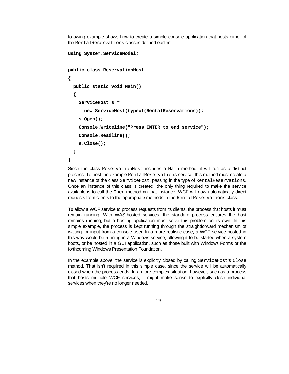following example shows how to create a simple console application that hosts either of the RentalReservations classes defined earlier:

```
using System.ServiceModel; 
public class ReservationHost 
{ 
   public static void Main() 
   { 
     ServiceHost s = 
       new ServiceHost(typeof(RentalReservations)); 
     s.Open(); 
     Console.Writeline("Press ENTER to end service"); 
     Console.Readline(); 
     s.Close(); 
   } 
}
```
Since the class ReservationHost includes a Main method, it will run as a distinct process. To host the example RentalReservations service, this method must create a new instance of the class ServiceHost, passing in the type of RentalReservations. Once an instance of this class is created, the only thing required to make the service available is to call the Open method on that instance. WCF will now automatically direct requests from clients to the appropriate methods in the RentalReservations class.

To allow a WCF service to process requests from its clients, the process that hosts it must remain running. With WAS-hosted services, the standard process ensures the host remains running, but a hosting application must solve this problem on its own. In this simple example, the process is kept running through the straightforward mechanism of waiting for input from a console user. In a more realistic case, a WCF service hosted in this way would be running in a Windows service, allowing it to be started when a system boots, or be hosted in a GUI application, such as those built with Windows Forms or the forthcoming Windows Presentation Foundation.

In the example above, the service is explicitly closed by calling ServiceHost's Close method. That isn't required in this simple case, since the service will be automatically closed when the process ends. In a more complex situation, however, such as a process that hosts multiple WCF services, it might make sense to explicitly close individual services when they're no longer needed.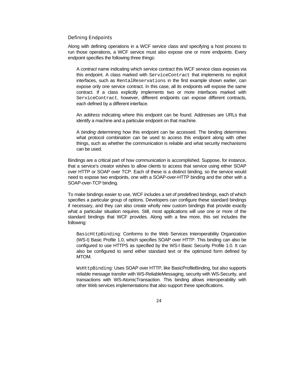#### Defining Endpoints

Along with defining operations in a WCF service class and specifying a host process to run those operations, a WCF service must also expose one or more endpoints. Every endpoint specifies the following three things:

A *contract* name indicating which service contract this WCF service class exposes via this endpoint. A class marked with ServiceContract that implements no explicit interfaces, such as RentalReservations in the first example shown earlier, can expose only one service contract. In this case, all its endpoints will expose the same contract. If a class explicitly implements two or more interfaces marked with ServiceContract, however, different endpoints can expose different contracts, each defined by a different interface.

An *address* indicating where this endpoint can be found. Addresses are URLs that identify a machine and a particular endpoint on that machine.

A *binding* determining how this endpoint can be accessed. The binding determines what protocol combination can be used to access this endpoint along with other things, such as whether the communication is reliable and what security mechanisms can be used.

Bindings are a critical part of how communication is accomplished. Suppose, for instance, that a service's creator wishes to allow clients to access that service using either SOAP over HTTP or SOAP over TCP. Each of these is a distinct binding, so the service would need to expose two endpoints, one with a SOAP-over-HTTP binding and the other with a SOAP-over-TCP binding.

To make bindings easier to use, WCF includes a set of predefined bindings, each of which specifies a particular group of options. Developers can configure these standard bindings if necessary, and they can also create wholly new custom bindings that provide exactly what a particular situation requires. Still, most applications will use one or more of the standard bindings that WCF provides. Along with a few more, this set includes the following:

BasicHttpBinding: Conforms to the Web Services Interoperability Organization (WS-I) Basic Profile 1.0, which specifies SOAP over HTTP. This binding can also be configured to use HTTPS as specified by the WS-I Basic Security Profile 1.0. It can also be configured to send either standard text or the optimized form defined by MTOM.

WsHttpBinding: Uses SOAP over HTTP, like BasicProfileBinding, but also supports reliable message transfer with WS-ReliableMessaging, security with WS-Security, and transactions with WS-AtomicTransaction. This binding allows interoperability with other Web services implementations that also support these specifications.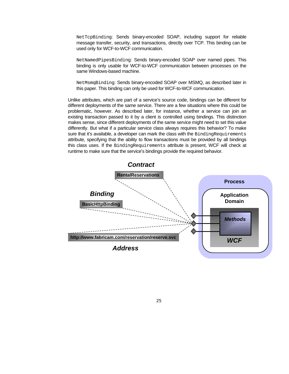NetTcpBinding: Sends binary-encoded SOAP, including support for reliable message transfer, security, and transactions, directly over TCP. This binding can be used only for WCF-to-WCF communication.

NetNamedPipesBinding: Sends binary-encoded SOAP over named pipes. This binding is only usable for WCF-to-WCF communication between processes on the same Windows-based machine.

NetMsmqBinding: Sends binary-encoded SOAP over MSMQ, as described later in this paper. This binding can only be used for WCF-to-WCF communication.

Unlike attributes, which are part of a service's source code, bindings can be different for different deployments of the same service. There are a few situations where this could be problematic, however. As described later, for instance, whether a service can join an existing transaction passed to it by a client is controlled using bindings. This distinction makes sense, since different deployments of the same service might need to set this value differently. But what if a particular service class always requires this behavior? To make sure that it's available, a developer can mark the class with the BindingRequirements attribute, specifying that the ability to flow transactions must be provided by all bindings this class uses. If the BindingRequirements attribute is present, WCF will check at runtime to make sure that the service's bindings provide the required behavior.

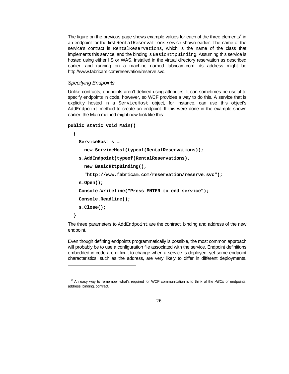The figure on the previous page shows example values for each of the three elements<sup>2</sup> in an endpoint for the first RentalReservations service shown earlier. The name of the service's contract is RentalReservations, which is the name of the class that implements this service, and the binding is BasicHttpBinding. Assuming this service is hosted using either IIS or WAS, installed in the virtual directory reservation as described earlier, and running on a machine named fabricam.com, its address might be http://www.fabricam.com/reservation/reserve.svc.

#### *Specifying Endpoints*

l

Unlike contracts, endpoints aren't defined using attributes. It can sometimes be useful to specify endpoints in code, however, so WCF provides a way to do this. A service that is explicitly hosted in a ServiceHost object, for instance, can use this object's AddEndpoint method to create an endpoint. If this were done in the example shown earlier, the Main method might now look like this:

```
public static void Main()
```

```
 { 
   ServiceHost s = 
     new ServiceHost(typeof(RentalReservations)); 
   s.AddEndpoint(typeof(RentalReservations), 
     new BasicHttpBinding(), 
     "http://www.fabricam.com/reservation/reserve.svc"); 
   s.Open(); 
   Console.Writeline("Press ENTER to end service"); 
   Console.Readline(); 
   s.Close(); 
 }
```
The three parameters to AddEndpoint are the contract, binding and address of the new endpoint.

Even though defining endpoints programmatically is possible, the most common approach will probably be to use a configuration file associated with the service. Endpoint definitions embedded in code are difficult to change when a service is deployed, yet some endpoint characteristics, such as the address, are very likely to differ in different deployments.

<sup>2</sup> An easy way to remember what's required for WCF communication is to think of the *ABCs* of endpoints: address, binding, contract.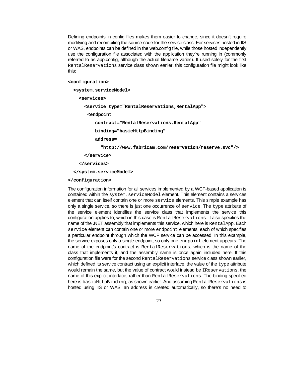Defining endpoints in config files makes them easier to change, since it doesn't require modifying and recompiling the source code for the service class. For services hosted in IIS or WAS, endpoints can be defined in the web.config file, while those hosted independently use the configuration file associated with the application they're running in (commonly referred to as app.config, although the actual filename varies). If used solely for the first RentalReservations service class shown earlier, this configuration file might look like this:

#### **<configuration>**

```
 <system.serviceModel>
```

```
 <services>
```
 **<service type="RentalReservations,RentalApp">** 

 **<endpoint** 

 **contract="RentalReservations,RentalApp"** 

 **binding="basicHttpBinding"** 

 **address=** 

 **"http://www.fabricam.com/reservation/reserve.svc"/>** 

 **</service>** 

```
 </services>
```
 **</system.serviceModel>** 

#### **</configuration>**

The configuration information for all services implemented by a WCF-based application is contained within the system.serviceModel element. This element contains a services element that can itself contain one or more service elements. This simple example has only a single service, so there is just one occurrence of service. The type attribute of the service element identifies the service class that implements the service this configuration applies to, which in this case is RentalReservations. It also specifies the name of the .NET assembly that implements this service, which here is RentalApp. Each service element can contain one or more endpoint elements, each of which specifies a particular endpoint through which the WCF service can be accessed. In this example, the service exposes only a single endpoint, so only one endpoint element appears. The name of the endpoint's contract is RentalReservations, which is the name of the class that implements it, and the assembly name is once again included here. If this configuration file were for the second RentalReservations service class shown earlier, which defined its service contract using an explicit interface, the value of the type attribute would remain the same, but the value of contract would instead be IReservations, the name of this explicit interface, rather than RentalReservations. The binding specified here is basicHttpBinding, as shown earlier. And assuming RentalReservations is hosted using IIS or WAS, an address is created automatically, so there's no need to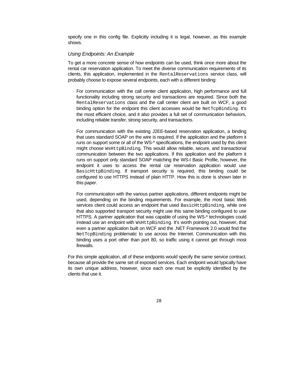specify one in this config file. Explicitly including it is legal, however, as this example shows.

#### *Using Endpoints: An Example*

To get a more concrete sense of how endpoints can be used, think once more about the rental car reservation application. To meet the diverse communication requirements of its clients, this application, implemented in the RentalReservations service class, will probably choose to expose several endpoints, each with a different binding:

For communication with the call center client application, high performance and full functionality including strong security and transactions are required. Since both the RentalReservations class and the call center client are built on WCF, a good binding option for the endpoint this client accesses would be NetTcpBinding. It's the most efficient choice, and it also provides a full set of communication behaviors, including reliable transfer, strong security, and transactions.

For communication with the existing J2EE-based reservation application, a binding that uses standard SOAP on the wire is required. If the application and the platform it runs on support some or all of the WS-\* specifications, the endpoint used by this client might choose WsHttpBinding. This would allow reliable, secure, and transactional communication between the two applications. If this application and the platform it runs on support only standard SOAP matching the WS-I Basic Profile, however, the endpoint it uses to access the rental car reservation application would use BasicHttpBinding. If transport security is required, this binding could be configured to use HTTPS instead of plain HTTP. How this is done is shown later in this paper.

For communication with the various partner applications, different endpoints might be used, depending on the binding requirements. For example, the most basic Web services client could access an endpoint that used BasicHttpBinding, while one that also supported transport security might use this same binding configured to use HTTPS. A partner application that was capable of using the WS-\* technologies could instead use an endpoint with WsHttpBinding. It's worth pointing out, however, that even a partner application built on WCF and the .NET Framework 2.0 would find the NetTcpBinding problematic to use across the Internet. Communication with this binding uses a port other than port 80, so traffic using it cannot get through most firewalls.

For this simple application, all of these endpoints would specify the same service contract, because all provide the same set of exposed services. Each endpoint would typically have its own unique address, however, since each one must be explicitly identified by the clients that use it.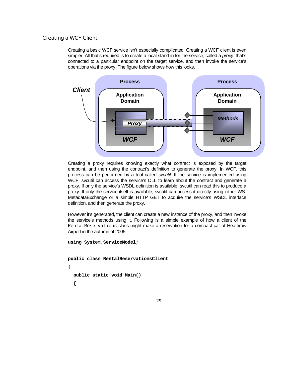## Creating a WCF Client

Creating a basic WCF service isn't especially complicated. Creating a WCF client is even simpler. All that's required is to create a local stand-in for the service, called a *proxy*, that's connected to a particular endpoint on the target service, and then invoke the service's operations via the proxy. The figure below shows how this looks.



Creating a proxy requires knowing exactly what contract is exposed by the target endpoint, and then using the contract's definition to generate the proxy. In WCF, this process can be performed by a tool called *svcutil*. If the service is implemented using WCF, svcutil can access the service's DLL to learn about the contract and generate a proxy. If only the service's WSDL definition is available, svcutil can read this to produce a proxy. If only the service itself is available, svcutil can access it directly using either WS-MetadataExchange or a simple HTTP GET to acquire the service's WSDL interface definition, and then generate the proxy.

However it's generated, the client can create a new instance of the proxy, and then invoke the service's methods using it. Following is a simple example of how a client of the RentalReservations class might make a reservation for a compact car at Heathrow Airport in the autumn of 2005:

```
using System.ServiceModel; 
public class RentalReservationsClient 
{ 
   public static void Main() 
   {
```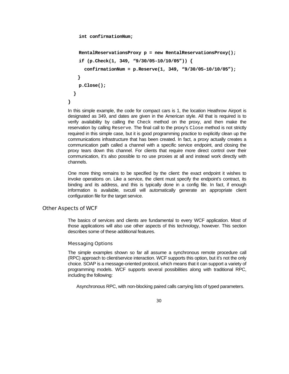```
 int confirmationNum;
```

```
 RentalReservationsProxy p = new RentalReservationsProxy(); 
     if (p.Check(1, 349, "9/30/05-10/10/05")) { 
       confirmationNum = p.Reserve(1, 349, "9/30/05-10/10/05"); 
    } 
     p.Close(); 
   } 
}
```
In this simple example, the code for compact cars is 1, the location Heathrow Airport is designated as 349, and dates are given in the American style. All that is required is to verify availability by calling the Check method on the proxy, and then make the reservation by calling Reserve. The final call to the proxy's Close method is not strictly required in this simple case, but it is good programming practice to explicitly clean up the communications infrastructure that has been created. In fact, a proxy actually creates a communication path called a channel with a specific service endpoint, and closing the proxy tears down this channel. For clients that require more direct control over their communication, it's also possible to no use proxies at all and instead work directly with channels.

One more thing remains to be specified by the client: the exact endpoint it wishes to invoke operations on. Like a service, the client must specify the endpoint's contract, its binding and its address, and this is typically done in a config file. In fact, if enough information is available, svcutil will automatically generate an appropriate client configuration file for the target service.

## Other Aspects of WCF

The basics of services and clients are fundamental to every WCF application. Most of those applications will also use other aspects of this technology, however. This section describes some of these additional features.

## Messaging Options

The simple examples shown so far all assume a synchronous remote procedure call (RPC) approach to client/service interaction. WCF supports this option, but it's not the only choice. SOAP is a message-oriented protocol, which means that it can support a variety of programming models. WCF supports several possibilities along with traditional RPC, including the following:

Asynchronous RPC, with non-blocking paired calls carrying lists of typed parameters.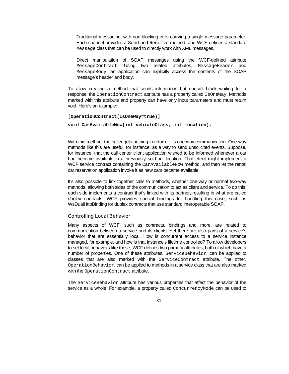Traditional messaging, with non-blocking calls carrying a single message parameter. Each channel provides a Send and Receive method, and WCF defines a standard Message class that can be used to directly work with XML messages.

Direct manipulation of SOAP messages using the WCF-defined attribute MessageContract. Using two related attributes, MessageHeader and MessageBody, an application can explicitly access the contents of the SOAP message's header and body.

To allow creating a method that sends information but doesn't block waiting for a response, the OperationContract attribute has a property called IsOneWay. Methods marked with this attribute and property can have only input parameters and must return void. Here's an example:

```
[OperationContract(IsOneWay=true)]
```

```
void CarAvailableNow(int vehicleClass, int location);
```
With this method, the caller gets nothing in return—it's one-way communication. One-way methods like this are useful, for instance, as a way to send unsolicited events. Suppose, for instance, that the call center client application wished to be informed whenever a car had become available in a previously sold-out location. That client might implement a WCF service contract containing the CarAvailableNow method, and then let the rental car reservation application invoke it as new cars became available.

It's also possible to link together calls to methods, whether one-way or normal two-way methods, allowing both sides of the communication to act as client and service. To do this, each side implements a contract that's linked with its partner, resulting in what are called *duplex* contracts. WCF provides special bindings for handling this case, such as WsDualHttpBinding for duplex contracts that use standard interoperable SOAP.

#### Controlling Local Behavior

Many aspects of WCF, such as contracts, bindings and more, are related to communication between a service and its clients. Yet there are also parts of a service's behavior that are essentially local. How is concurrent access to a service instance managed, for example, and how is that instance's lifetime controlled? To allow developers to set local behaviors like these, WCF defines two primary attributes, both of which have a number of properties. One of these attributes, ServiceBehavior, can be applied to classes that are also marked with the ServiceContract attribute. The other, OperationBehavior, can be applied to methods in a service class that are also marked with the OperationContract attribute.

The ServiceBehavior attribute has various properties that affect the behavior of the service as a whole. For example, a property called ConcurrencyMode can be used to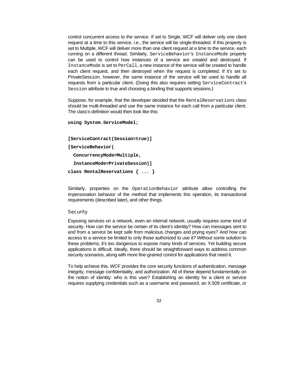control concurrent access to the service. If set to Single, WCF will deliver only one client request at a time to this service, i.e., the service will be single-threaded. If this property is set to Multiple, WCF will deliver more than one client request at a time to the service, each running on a different thread. Similarly, ServiceBehavior's InstanceMode property can be used to control how instances of a service are created and destroyed. If InstanceMode is set to PerCall, a new instance of the service will be created to handle each client request, and then destroyed when the request is completed. If it's set to PrivateSession, however, the same instance of the service will be used to handle all requests from a particular client. (Doing this also requires setting ServiceContract's Session attribute to true and choosing a binding that supports sessions.)

Suppose, for example, that the developer decided that the RentalReservations class should be multi-threaded and use the same instance for each call from a particular client. The class's definition would then look like this:

```
using System.ServiceModel;
```

```
[ServiceContract(Session=true)]
```

```
[ServiceBehavior(
```

```
 ConcurrencyMode=Multiple,
```

```
 InstanceMode=PrivateSession)]
```

```
class RentalReservations { ... }
```
Similarly, properties on the OperationBehavior attribute allow controlling the impersonation behavior of the method that implements this operation, its transactional requirements (described later), and other things.

## **Security**

Exposing services on a network, even an internal network, usually requires some kind of security. How can the service be certain of its client's identity? How can messages sent to and from a service be kept safe from malicious changes and prying eyes? And how can access to a service be limited to only those authorized to use it? Without some solution to these problems, it's too dangerous to expose many kinds of services. Yet building secure applications is difficult. Ideally, there should be straightforward ways to address common security scenarios, along with more fine-grained control for applications that need it.

To help achieve this, WCF provides the core security functions of authentication, message integrity, message confidentiality, and authorization. All of these depend fundamentally on the notion of identity: who is this user? Establishing an identity for a client or service requires supplying credentials such as a username and password, an X.509 certificate, or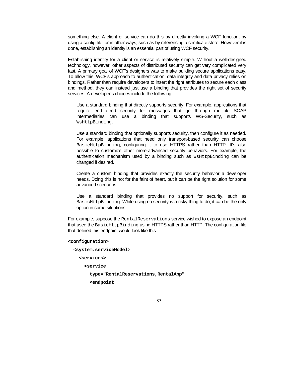something else. A client or service can do this by directly invoking a WCF function, by using a config file, or in other ways, such as by referencing a certificate store. However it is done, establishing an identity is an essential part of using WCF security.

Establishing identity for a client or service is relatively simple. Without a well-designed technology, however, other aspects of distributed security can get very complicated very fast. A primary goal of WCF's designers was to make building secure applications easy. To allow this, WCF's approach to authentication, data integrity and data privacy relies on bindings. Rather than require developers to insert the right attributes to secure each class and method, they can instead just use a binding that provides the right set of security services. A developer's choices include the following:

Use a standard binding that directly supports security. For example, applications that require end-to-end security for messages that go through multiple SOAP intermediaries can use a binding that supports WS-Security, such as WsHttpBinding.

Use a standard binding that optionally supports security, then configure it as needed. For example, applications that need only transport-based security can choose BasicHttpBinding, configuring it to use HTTPS rather than HTTP. It's also possible to customize other more-advanced security behaviors. For example, the authentication mechanism used by a binding such as WestttpBinding can be changed if desired.

Create a custom binding that provides exactly the security behavior a developer needs. Doing this is not for the faint of heart, but it can be the right solution for some advanced scenarios.

Use a standard binding that provides no support for security, such as BasicHttpBinding. While using no security is a risky thing to do, it can be the only option in some situations.

For example, suppose the RentalReservations service wished to expose an endpoint that used the BasicHttpBinding using HTTPS rather than HTTP. The configuration file that defined this endpoint would look like this:

```
<configuration>
```
 **<system.serviceModel> <services> <service type="RentalReservations,RentalApp" <endpoint**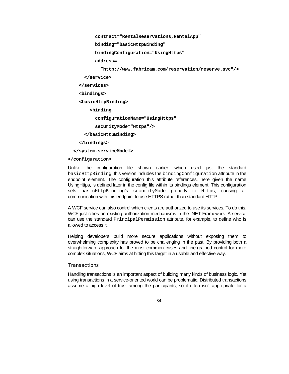**contract="RentalReservations,RentalApp"** 

 **binding="basicHttpBinding"** 

 **bindingConfiguration="UsingHttps"** 

 **address=** 

 **"http://www.fabricam.com/reservation/reserve.svc"/>** 

```
 </service>
```
 **</services>** 

 **<bindings>** 

 **<basicHttpBinding>** 

 **<binding** 

 **configurationName="UsingHttps"** 

 **securityMode="Https"/>** 

 **</basicHttpBinding>** 

 **</bindings>** 

 **</system.serviceModel>** 

#### **</configuration>**

Unlike the configuration file shown earlier, which used just the standard basicHttpBinding, this version includes the bindingConfiguration attribute in the endpoint element. The configuration this attribute references, here given the name UsingHttps, is defined later in the config file within its bindings element. This configuration sets basicHttpBinding's securityMode property to Https, causing all communication with this endpoint to use HTTPS rather than standard HTTP.

A WCF service can also control which clients are authorized to use its services. To do this, WCF just relies on existing authorization mechanisms in the .NET Framework. A service can use the standard PrincipalPermission attribute, for example, to define who is allowed to access it.

Helping developers build more secure applications without exposing them to overwhelming complexity has proved to be challenging in the past. By providing both a straightforward approach for the most common cases and fine-grained control for more complex situations, WCF aims at hitting this target in a usable and effective way.

## **Transactions**

Handling transactions is an important aspect of building many kinds of business logic. Yet using transactions in a service-oriented world can be problematic. Distributed transactions assume a high level of trust among the participants, so it often isn't appropriate for a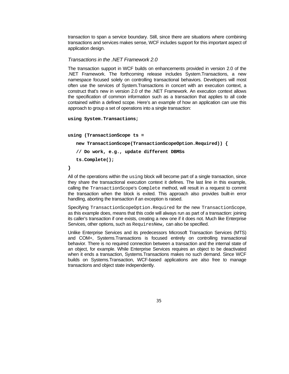transaction to span a service boundary. Still, since there are situations where combining transactions and services makes sense, WCF includes support for this important aspect of application design.

## *Transactions in the .NET Framework 2.0*

The transaction support in WCF builds on enhancements provided in version 2.0 of the .NET Framework. The forthcoming release includes System.Transactions, a new namespace focused solely on controlling transactional behaviors. Developers will most often use the services of System.Transactions in concert with an execution context, a construct that's new in version 2.0 of the .NET Framework. An execution context allows the specification of common information such as a transaction that applies to all code contained within a defined scope. Here's an example of how an application can use this approach to group a set of operations into a single transaction:

```
using System.Transactions;
```

```
using (TransactionScope ts =
```
 **new TransactionScope(TransactionScopeOption.Required)) {** 

```
 // Do work, e.g., update different DBMSs 
 ts.Complete();
```
#### **}**

All of the operations within the using block will become part of a single transaction, since they share the transactional execution context it defines. The last line in this example, calling the TransactionScope's Complete method, will result in a request to commit the transaction when the block is exited. This approach also provides built-in error handling, aborting the transaction if an exception is raised.

Specifying TransactionScopeOption.Required for the new TransactionScope, as this example does, means that this code will always run as part of a transaction: joining its caller's transaction if one exists, creating a new one if it does not. Much like Enterprise Services, other options, such as RequiresNew, can also be specified.

Unlike Enterprise Services and its predecessors Microsoft Transaction Services (MTS) and COM+, Systems.Transactions is focused entirely on controlling transactional behavior. There is no required connection between a transaction and the internal state of an object, for example. While Enterprise Services requires an object to be deactivated when it ends a transaction, Systems.Transactions makes no such demand. Since WCF builds on Systems.Transaction, WCF-based applications are also free to manage transactions and object state independently.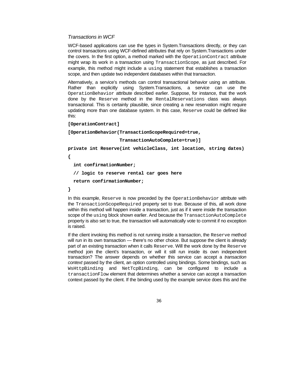## *Transactions in WCF*

WCF-based applications can use the types in System.Transactions directly, or they can control transactions using WCF-defined attributes that rely on System.Transactions under the covers. In the first option, a method marked with the OperationContract attribute might wrap its work in a transaction using TransactionScope, as just described. For example, this method might include a  $using$  statement that establishes a transaction scope, and then update two independent databases within that transaction.

Alternatively, a service's methods can control transactional behavior using an attribute. Rather than explicitly using System.Transactions, a service can use the OperationBehavior attribute described earlier. Suppose, for instance, that the work done by the Reserve method in the RentalReservations class was always transactional. This is certainly plausible, since creating a new reservation might require updating more than one database system. In this case, Reserve could be defined like this:

#### **[OperationContract]**

**[OperationBehavior(TransactionScopeRequired=true,** 

 **TransactionAutoComplete=true)]** 

**private int Reserve(int vehicleClass, int location, string dates) {** 

 **int confirmationNumber;** 

 **// logic to reserve rental car goes here** 

```
 return confirmationNumber;
```
**}** 

In this example, Reserve is now preceded by the OperationBehavior attribute with the TransactionScopeRequired property set to true. Because of this, all work done within this method will happen inside a transaction, just as if it were inside the transaction scope of the using block shown earlier. And because the TransactionAutoComplete property is also set to true, the transaction will automatically vote to commit if no exception is raised.

If the client invoking this method is not running inside a transaction, the Reserve method will run in its own transaction — there's no other choice. But suppose the client is already part of an existing transaction when it calls Reserve. Will the work done by the Reserve method join the client's transaction, or will it still run inside its own independent transaction? The answer depends on whether this service can accept a *transaction context* passed by the client, an option controlled using bindings. Some bindings, such as WsHttpBinding and NetTcpBinding, can be configured to include a transactionFlow element that determines whether a service can accept a transaction context passed by the client. If the binding used by the example service does this and the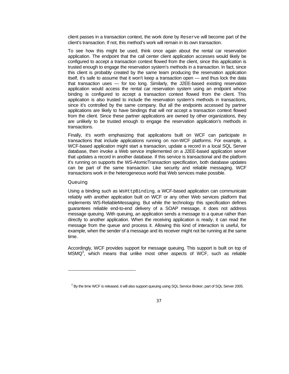client passes in a transaction context, the work done by Reserve will become part of the client's transaction. If not, this method's work will remain in its own transaction.

To see how this might be used, think once again about the rental car reservation application. The endpoint that the call center client application accesses would likely be configured to accept a transaction context flowed from the client, since this application is trusted enough to engage the reservation system's methods in a transaction. In fact, since this client is probably created by the same team producing the reservation application itself, it's safe to assume that it won't keep a transaction open — and thus lock the data that transaction uses — for too long. Similarly, the J2EE-based existing reservation application would access the rental car reservation system using an endpoint whose binding is configured to accept a transaction context flowed from the client. This application is also trusted to include the reservation system's methods in transactions, since it's controlled by the same company. But all the endpoints accessed by partner applications are likely to have bindings that will *not* accept a transaction context flowed from the client. Since these partner applications are owned by other organizations, they are unlikely to be trusted enough to engage the reservation application's methods in transactions.

Finally, it's worth emphasizing that applications built on WCF can participate in transactions that include applications running on non-WCF platforms. For example, a WCF-based application might start a transaction, update a record in a local SQL Server database, then invoke a Web service implemented on a J2EE-based application server that updates a record in another database. If this service is transactional and the platform it's running on supports the WS-AtomicTransaction specification, both database updates can be part of the same transaction. Like security and reliable messaging, WCF transactions work in the heterogeneous world that Web services make possible.

## **Queuing**

l

Using a binding such as WsHttpBinding, a WCF-based application can communicate reliably with another application built on WCF or any other Web services platform that implements WS-ReliableMessaging. But while the technology this specification defines guarantees reliable end-to-end delivery of a SOAP message, it does not address message queuing. With queuing, an application sends a message to a queue rather than directly to another application. When the receiving application is ready, it can read the message from the queue and process it. Allowing this kind of interaction is useful, for example, when the sender of a message and its receiver might not be running at the same time.

Accordingly, WCF provides support for message queuing. This support is built on top of  $MSMO<sup>3</sup>$ , which means that unlike most other aspects of WCF, such as reliable

 $^3$  By the time WCF is released, it will also support queuing using SQL Service Broker, part of SQL Server 2005.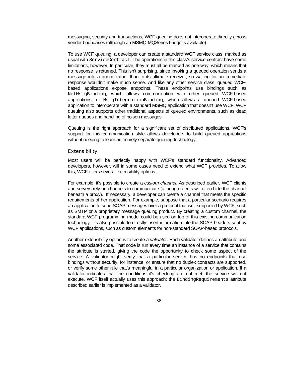messaging, security and transactions, WCF queuing does not interoperate directly across vendor boundaries (although an MSMQ-MQSeries bridge is available).

To use WCF queuing, a developer can create a standard WCF service class, marked as usual with ServiceContract. The operations in this class's service contract have some limitations, however. In particular, they must all be marked as one-way, which means that no response is returned. This isn't surprising, since invoking a queued operation sends a message into a queue rather than to its ultimate receiver, so waiting for an immediate response wouldn't make much sense. And like any other service class, queued WCFbased applications expose endpoints. These endpoints use bindings such as NetMsmqBinding, which allows communication with other queued WCF-based applications, or MsmqIntegrationBinding, which allows a queued WCF-based application to interoperate with a standard MSMQ application that doesn't use WCF. WCF queuing also supports other traditional aspects of queued environments, such as dead letter queues and handling of poison messages.

Queuing is the right approach for a significant set of distributed applications. WCF's support for this communication style allows developers to build queued applications without needing to learn an entirely separate queuing technology.

#### Extensibility

Most users will be perfectly happy with WCF's standard functionality. Advanced developers, however, will in some cases need to extend what WCF provides. To allow this, WCF offers several extensibility options.

For example, it's possible to create a *custom channel*. As described earlier, WCF clients and servers rely on channels to communicate (although clients will often hide the channel beneath a proxy). If necessary, a developer can create a channel that meets the specific requirements of her application. For example, suppose that a particular scenario requires an application to send SOAP messages over a protocol that isn't supported by WCF, such as SMTP or a proprietary message queuing product. By creating a custom channel, the standard WCF programming model could be used on top of this existing communication technology. It's also possible to directly insert information into the SOAP headers sent by WCF applications, such as custom elements for non-standard SOAP-based protocols.

Another extensibility option is to create a *validator*. Each validator defines an attribute and some associated code. That code is run every time an instance of a service that contains the attribute is started, giving the code the opportunity to check some aspect of the service. A validator might verify that a particular service has no endpoints that use bindings without security, for instance, or ensure that no duplex contracts are supported, or verify some other rule that's meaningful in a particular organization or application. If a validator indicates that the conditions it's checking are not met, the service will not execute. WCF itself actually uses this approach: the BindingRequirements attribute described earlier is implemented as a validator.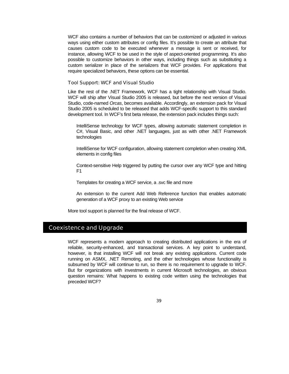WCF also contains a number of behaviors that can be customized or adjusted in various ways using either custom attributes or config files. It's possible to create an attribute that causes custom code to be executed whenever a message is sent or received, for instance, allowing WCF to be used in the style of aspect-oriented programming. It's also possible to customize behaviors in other ways, including things such as substituting a custom serializer in place of the serializers that WCF provides. For applications that require specialized behaviors, these options can be essential.

#### Tool Support: WCF and Visual Studio

Like the rest of the .NET Framework, WCF has a tight relationship with Visual Studio. WCF will ship after Visual Studio 2005 is released, but before the next version of Visual Studio, code-named *Orcas*, becomes available. Accordingly, an extension pack for Visual Studio 2005 is scheduled to be released that adds WCF-specific support to this standard development tool. In WCF's first beta release, the extension pack includes things such:

IntelliSense technology for WCF types, allowing automatic statement completion in C#, Visual Basic, and other .NET languages, just as with other .NET Framework technologies

IntelliSense for WCF configuration, allowing statement completion when creating XML elements in config files

Context-sensitive Help triggered by putting the cursor over any WCF type and hitting F1

Templates for creating a WCF service, a .svc file and more

An extension to the current Add Web Reference function that enables automatic generation of a WCF proxy to an existing Web service

More tool support is planned for the final release of WCF.

## Coexistence and Upgrade

WCF represents a modern approach to creating distributed applications in the era of reliable, security-enhanced, and transactional services. A key point to understand, however, is that installing WCF will not break any existing applications. Current code running on ASMX, .NET Remoting, and the other technologies whose functionality is subsumed by WCF will continue to run, so there is no requirement to upgrade to WCF. But for organizations with investments in current Microsoft technologies, an obvious question remains: What happens to existing code written using the technologies that preceded WCF?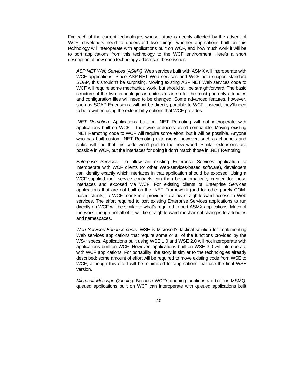For each of the current technologies whose future is deeply affected by the advent of WCF, developers need to understand two things: whether applications built on this technology will interoperate with applications built on WCF, and how much work it will be to port applications from this technology to the WCF environment. Here's a short description of how each technology addresses these issues:

*ASP.NET Web Services (ASMX)*: Web services built with ASMX will interoperate with WCF applications. Since ASP.NET Web services and WCF both support standard SOAP, this shouldn't be surprising. Moving existing ASP.NET Web services code to WCF will require some mechanical work, but should still be straightforward. The basic structure of the two technologies is quite similar, so for the most part only attributes and configuration files will need to be changed. Some advanced features, however, such as SOAP Extensions, will not be directly portable to WCF. Instead, they'll need to be rewritten using the extensibility options that WCF provides.

*.NET Remoting*: Applications built on .NET Remoting will not interoperate with applications built on WCF— their wire protocols aren't compatible. Moving existing .NET Remoting code to WCF will require some effort, but it will be possible. Anyone who has built custom .NET Remoting extensions, however, such as channels and sinks, will find that this code won't port to the new world. Similar extensions are possible in WCF, but the interfaces for doing it don't match those in .NET Remoting.

*Enterprise Services*: To allow an existing Enterprise Services application to interoperate with WCF clients (or other Web-services-based software), developers can identify exactly which interfaces in that application should be exposed. Using a WCF-supplied tool, service contracts can then be automatically created for those interfaces and exposed via WCF. For existing clients of Enterprise Services applications that are not built on the .NET Framework (and for other purely COMbased clients), a WCF moniker is provided to allow straightforward access to Web services. The effort required to port existing Enterprise Services applications to run directly on WCF will be similar to what's required to port ASMX applications. Much of the work, though not all of it, will be straightforward mechanical changes to attributes and namespaces.

*Web Services Enhancements*: WSE is Microsoft's tactical solution for implementing Web services applications that require some or all of the functions provided by the WS-\* specs. Applications built using WSE 1.0 and WSE 2.0 will not interoperate with applications built on WCF. However, applications built on WSE 3.0 will interoperate with WCF applications. For portability, the story is similar to the technologies already described: some amount of effort will be required to move existing code from WSE to WCF, although this effort will be minimized for applications that use the final WSE version.

*Microsoft Message Queuing*: Because WCF's queuing functions are built on MSMQ, queued applications built on WCF can interoperate with queued applications built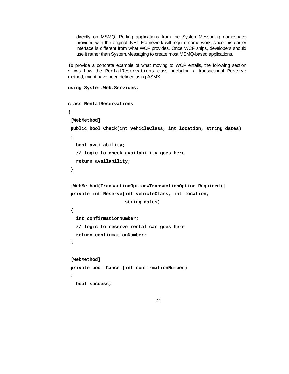directly on MSMQ. Porting applications from the System.Messaging namespace provided with the original .NET Framework will require some work, since this earlier interface is different from what WCF provides. Once WCF ships, developers should use it rather than System.Messaging to create most MSMQ-based applications.

To provide a concrete example of what moving to WCF entails, the following section shows how the RentalReservations class, including a transactional Reserve method, might have been defined using ASMX:

```
using System.Web.Services; 
class RentalReservations 
{ 
  [WebMethod] 
  public bool Check(int vehicleClass, int location, string dates) 
  { 
    bool availability; 
    // logic to check availability goes here 
    return availability; 
  } 
  [WebMethod(TransactionOption=TransactionOption.Required)] 
  private int Reserve(int vehicleClass, int location, 
                        string dates) 
  { 
    int confirmationNumber; 
    // logic to reserve rental car goes here 
    return confirmationNumber; 
  } 
  [WebMethod] 
  private bool Cancel(int confirmationNumber) 
  { 
    bool success;
```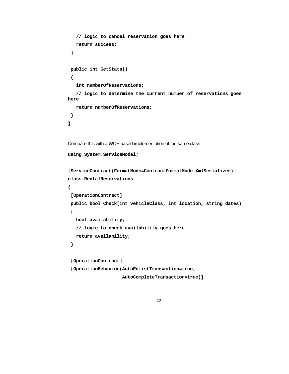```
 // logic to cancel reservation goes here 
    return success; 
  } 
  public int GetStats() 
  { 
    int numberOfReservations; 
    // logic to determine the current number of reservations goes 
here 
    return numberOfReservations; 
  } 
} 
Compare this with a WCF-based implementation of the same class: 
using System.ServiceModel; 
[ServiceContract(FormatMode=ContractFormatMode.XmlSerializer)] 
class RentalReservations 
{ 
  [OperationContract] 
  public bool Check(int vehicleClass, int location, string dates) 
  { 
    bool availability; 
    // logic to check availability goes here 
    return availability; 
  } 
  [OperationContract] 
  [OperationBehavior(AutoEnlistTransaction=true, 
                       AutoCompleteTransaction=true)]
```

```
42
```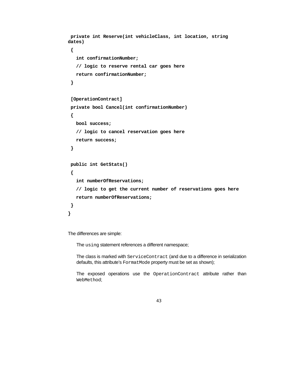```
 private int Reserve(int vehicleClass, int location, string 
dates) 
  { 
    int confirmationNumber; 
    // logic to reserve rental car goes here 
    return confirmationNumber; 
  } 
  [OperationContract] 
  private bool Cancel(int confirmationNumber) 
  { 
    bool success; 
    // logic to cancel reservation goes here 
    return success; 
  } 
  public int GetStats() 
  { 
    int numberOfReservations; 
    // logic to get the current number of reservations goes here 
    return numberOfReservations; 
  } 
}
```
The differences are simple:

The using statement references a different namespace;

The class is marked with ServiceContract (and due to a difference in serialization defaults, this attribute's FormatMode property must be set as shown);

The exposed operations use the OperationContract attribute rather than WebMethod;